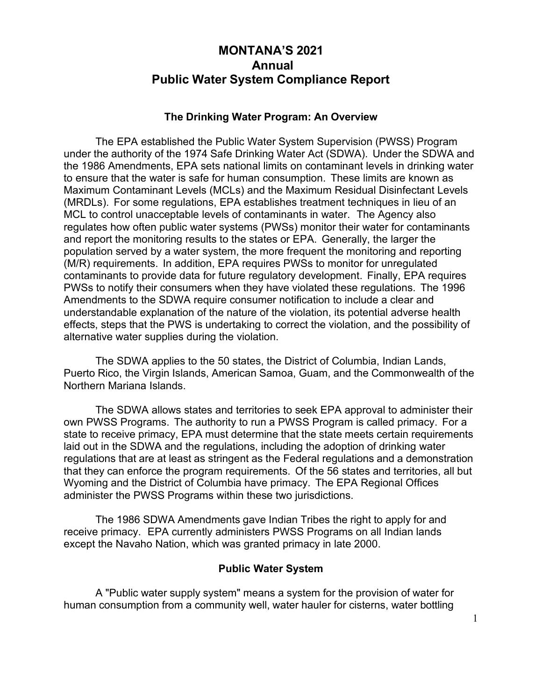# **MONTANA'S 2021 Annual Public Water System Compliance Report**

#### **The Drinking Water Program: An Overview**

The EPA established the Public Water System Supervision (PWSS) Program under the authority of the 1974 Safe Drinking Water Act (SDWA). Under the SDWA and the 1986 Amendments, EPA sets national limits on contaminant levels in drinking water to ensure that the water is safe for human consumption. These limits are known as Maximum Contaminant Levels (MCLs) and the Maximum Residual Disinfectant Levels (MRDLs). For some regulations, EPA establishes treatment techniques in lieu of an MCL to control unacceptable levels of contaminants in water. The Agency also regulates how often public water systems (PWSs) monitor their water for contaminants and report the monitoring results to the states or EPA. Generally, the larger the population served by a water system, the more frequent the monitoring and reporting (M/R) requirements. In addition, EPA requires PWSs to monitor for unregulated contaminants to provide data for future regulatory development. Finally, EPA requires PWSs to notify their consumers when they have violated these regulations. The 1996 Amendments to the SDWA require consumer notification to include a clear and understandable explanation of the nature of the violation, its potential adverse health effects, steps that the PWS is undertaking to correct the violation, and the possibility of alternative water supplies during the violation.

The SDWA applies to the 50 states, the District of Columbia, Indian Lands, Puerto Rico, the Virgin Islands, American Samoa, Guam, and the Commonwealth of the Northern Mariana Islands.

The SDWA allows states and territories to seek EPA approval to administer their own PWSS Programs. The authority to run a PWSS Program is called primacy. For a state to receive primacy, EPA must determine that the state meets certain requirements laid out in the SDWA and the regulations, including the adoption of drinking water regulations that are at least as stringent as the Federal regulations and a demonstration that they can enforce the program requirements. Of the 56 states and territories, all but Wyoming and the District of Columbia have primacy. The EPA Regional Offices administer the PWSS Programs within these two jurisdictions.

The 1986 SDWA Amendments gave Indian Tribes the right to apply for and receive primacy. EPA currently administers PWSS Programs on all Indian lands except the Navaho Nation, which was granted primacy in late 2000.

#### **Public Water System**

A "Public water supply system" means a system for the provision of water for human consumption from a community well, water hauler for cisterns, water bottling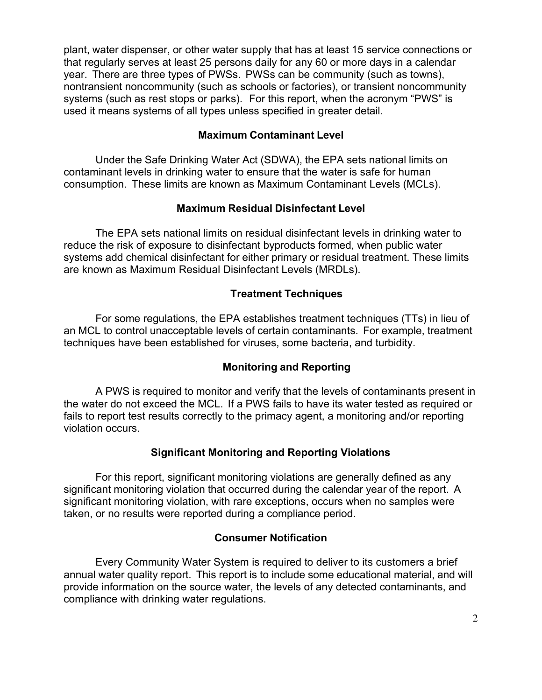plant, water dispenser, or other water supply that has at least 15 service connections or that regularly serves at least 25 persons daily for any 60 or more days in a calendar year. There are three types of PWSs. PWSs can be community (such as towns), nontransient noncommunity (such as schools or factories), or transient noncommunity systems (such as rest stops or parks). For this report, when the acronym "PWS" is used it means systems of all types unless specified in greater detail.

### **Maximum Contaminant Level**

Under the Safe Drinking Water Act (SDWA), the EPA sets national limits on contaminant levels in drinking water to ensure that the water is safe for human consumption. These limits are known as Maximum Contaminant Levels (MCLs).

#### **Maximum Residual Disinfectant Level**

The EPA sets national limits on residual disinfectant levels in drinking water to reduce the risk of exposure to disinfectant byproducts formed, when public water systems add chemical disinfectant for either primary or residual treatment. These limits are known as Maximum Residual Disinfectant Levels (MRDLs).

## **Treatment Techniques**

For some regulations, the EPA establishes treatment techniques (TTs) in lieu of an MCL to control unacceptable levels of certain contaminants. For example, treatment techniques have been established for viruses, some bacteria, and turbidity.

## **Monitoring and Reporting**

A PWS is required to monitor and verify that the levels of contaminants present in the water do not exceed the MCL. If a PWS fails to have its water tested as required or fails to report test results correctly to the primacy agent, a monitoring and/or reporting violation occurs.

#### **Significant Monitoring and Reporting Violations**

For this report, significant monitoring violations are generally defined as any significant monitoring violation that occurred during the calendar year of the report. A significant monitoring violation, with rare exceptions, occurs when no samples were taken, or no results were reported during a compliance period.

#### **Consumer Notification**

Every Community Water System is required to deliver to its customers a brief annual water quality report. This report is to include some educational material, and will provide information on the source water, the levels of any detected contaminants, and compliance with drinking water regulations.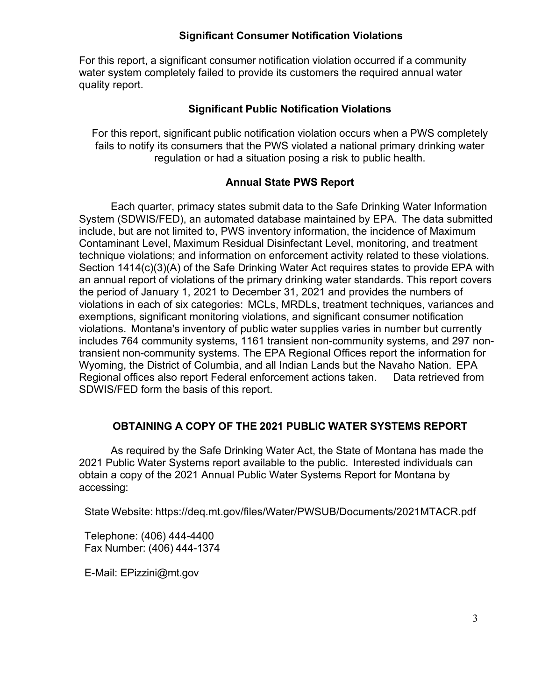### **Significant Consumer Notification Violations**

For this report, a significant consumer notification violation occurred if a community water system completely failed to provide its customers the required annual water quality report.

### **Significant Public Notification Violations**

For this report, significant public notification violation occurs when a PWS completely fails to notify its consumers that the PWS violated a national primary drinking water regulation or had a situation posing a risk to public health.

### **Annual State PWS Report**

Each quarter, primacy states submit data to the Safe Drinking Water Information System (SDWIS/FED), an automated database maintained by EPA. The data submitted include, but are not limited to, PWS inventory information, the incidence of Maximum Contaminant Level, Maximum Residual Disinfectant Level, monitoring, and treatment technique violations; and information on enforcement activity related to these violations. Section 1414(c)(3)(A) of the Safe Drinking Water Act requires states to provide EPA with an annual report of violations of the primary drinking water standards. This report covers the period of January 1, 2021 to December 31, 2021 and provides the numbers of violations in each of six categories: MCLs, MRDLs, treatment techniques, variances and exemptions, significant monitoring violations, and significant consumer notification violations. Montana's inventory of public water supplies varies in number but currently includes 764 community systems, 1161 transient non-community systems, and 297 nontransient non-community systems. The EPA Regional Offices report the information for Wyoming, the District of Columbia, and all Indian Lands but the Navaho Nation. EPA Regional offices also report Federal enforcement actions taken. Data retrieved from SDWIS/FED form the basis of this report.

## **OBTAINING A COPY OF THE 2021 PUBLIC WATER SYSTEMS REPORT**

As required by the Safe Drinking Water Act, the State of Montana has made the 2021 Public Water Systems report available to the public. Interested individuals can obtain a copy of the 2021 Annual Public Water Systems Report for Montana by accessing:

State Website: https[://deq.mt.gov/files/Water/PWSUB/Documents/2021MTAC](http://deq.mt.gov/water/drinkingwater/yourdrinkingwater)R.pdf

Telephone: (406) 444-4400 Fax Number: (406) 444-1374

E-Mail: EPizzini@mt.gov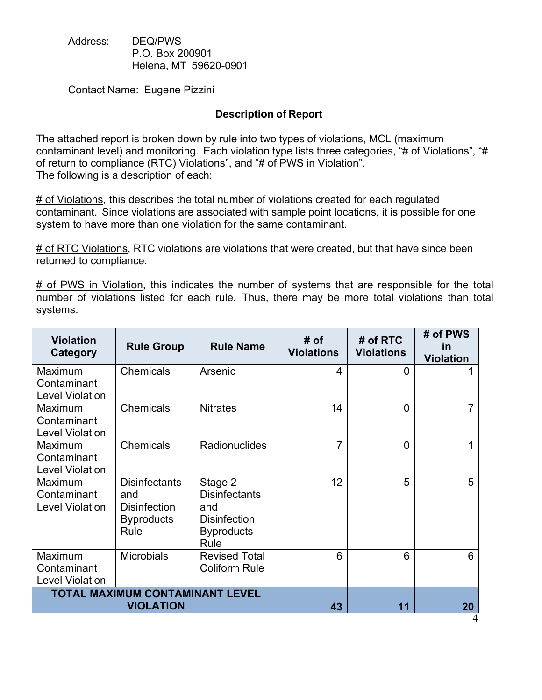Address: DEQ/PWS P.O. Box 200901 Helena, MT 59620-0901

Contact Name: Eugene Pizzini

### **Description of Report**

The attached report is broken down by rule into two types of violations, MCL (maximum contaminant level) and monitoring. Each violation type lists three categories, "# of Violations", "# of return to compliance (RTC) Violations", and "# of PWS in Violation". The following is a description of each:

 $#$  of Violations, this describes the total number of violations created for each regulated contaminant. Since violations are associated with sample point locations, it is possible for one system to have more than one violation for the same contaminant.

# of RTC Violations, RTC violations are violations that were created, but that have since been returned to compliance.

 $#$  of PWS in Violation, this indicates the number of systems that are responsible for the total number of violations listed for each rule. Thus, there may be more total violations than total systems.

| <b>Violation</b><br>Category                        | <b>Rule Group</b>                                                               | <b>Rule Name</b>                                                                           | # of<br><b>Violations</b> | # of RTC<br><b>Violations</b> | # of PWS<br>in<br><b>Violation</b> |
|-----------------------------------------------------|---------------------------------------------------------------------------------|--------------------------------------------------------------------------------------------|---------------------------|-------------------------------|------------------------------------|
| Maximum<br>Contaminant<br><b>Level Violation</b>    | <b>Chemicals</b>                                                                | Arsenic                                                                                    | 4                         | $\Omega$                      |                                    |
| Maximum<br>Contaminant<br><b>Level Violation</b>    | <b>Chemicals</b>                                                                | <b>Nitrates</b>                                                                            | 14                        | $\overline{0}$                |                                    |
| Maximum<br>Contaminant<br><b>Level Violation</b>    | <b>Chemicals</b>                                                                | <b>Radionuclides</b>                                                                       | 7                         | $\overline{0}$                |                                    |
| Maximum<br>Contaminant<br><b>Level Violation</b>    | <b>Disinfectants</b><br>and<br><b>Disinfection</b><br><b>Byproducts</b><br>Rule | Stage 2<br><b>Disinfectants</b><br>and<br><b>Disinfection</b><br><b>Byproducts</b><br>Rule | 12                        | 5                             | 5                                  |
| Maximum<br>Contaminant<br><b>Level Violation</b>    | <b>Microbials</b>                                                               | <b>Revised Total</b><br><b>Coliform Rule</b>                                               | 6                         | 6                             | 6                                  |
| TOTAL MAXIMUM CONTAMINANT LEVEL<br><b>VIOLATION</b> |                                                                                 |                                                                                            | 43                        | 11                            | 20                                 |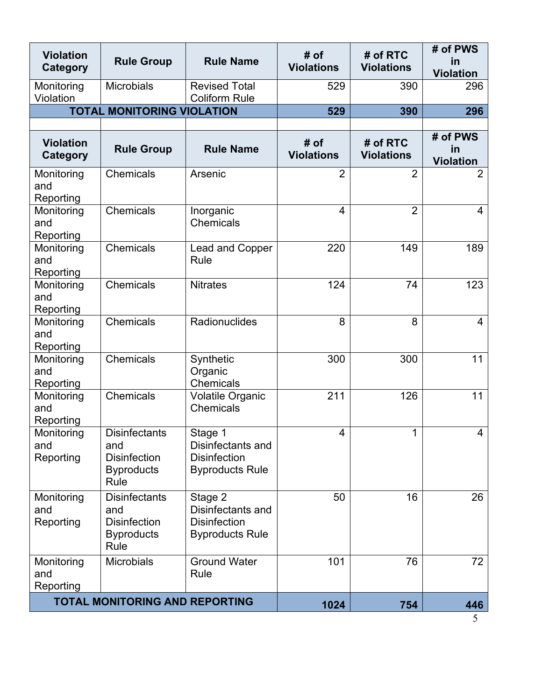| <b>Violation</b><br>Category          | <b>Rule Group</b>                                                               | <b>Rule Name</b>                                                              | # of<br><b>Violations</b> | # of RTC<br><b>Violations</b> | # of PWS<br>in<br><b>Violation</b> |
|---------------------------------------|---------------------------------------------------------------------------------|-------------------------------------------------------------------------------|---------------------------|-------------------------------|------------------------------------|
| Monitoring<br>Violation               | <b>Microbials</b>                                                               | <b>Revised Total</b><br><b>Coliform Rule</b>                                  | 529                       | 390                           | 296                                |
|                                       | <b>TOTAL MONITORING VIOLATION</b>                                               |                                                                               | 529                       | 390                           | 296                                |
|                                       |                                                                                 |                                                                               |                           |                               |                                    |
| <b>Violation</b><br>Category          | <b>Rule Group</b>                                                               | <b>Rule Name</b>                                                              | # of<br><b>Violations</b> | # of RTC<br><b>Violations</b> | # of PWS<br>in<br><b>Violation</b> |
| Monitoring<br>and<br>Reporting        | Chemicals                                                                       | Arsenic                                                                       | $\overline{2}$            | $\overline{2}$                | $\overline{2}$                     |
| Monitoring<br>and<br>Reporting        | Chemicals                                                                       | Inorganic<br><b>Chemicals</b>                                                 | $\overline{4}$            | $\overline{2}$                | 4                                  |
| Monitoring<br>and<br>Reporting        | Chemicals                                                                       | Lead and Copper<br>Rule                                                       | 220                       | 149                           | 189                                |
| Monitoring<br>and<br>Reporting        | Chemicals                                                                       | <b>Nitrates</b>                                                               | 124                       | 74                            | 123                                |
| Monitoring<br>and<br>Reporting        | Chemicals                                                                       | Radionuclides                                                                 | 8                         | 8                             | 4                                  |
| Monitoring<br>and<br>Reporting        | Chemicals                                                                       | Synthetic<br>Organic<br>Chemicals                                             | 300                       | 300                           | 11                                 |
| Monitoring<br>and<br>Reporting        | Chemicals                                                                       | <b>Volatile Organic</b><br><b>Chemicals</b>                                   | 211                       | 126                           | 11                                 |
| Monitoring<br>and<br>Reporting        | <b>Disinfectants</b><br>and<br><b>Disinfection</b><br><b>Byproducts</b><br>Rule | Stage 1<br>Disinfectants and<br><b>Disinfection</b><br><b>Byproducts Rule</b> | $\overline{4}$            | 1                             | 4                                  |
| Monitoring<br>and<br>Reporting        | <b>Disinfectants</b><br>and<br><b>Disinfection</b><br><b>Byproducts</b><br>Rule | Stage 2<br>Disinfectants and<br><b>Disinfection</b><br><b>Byproducts Rule</b> | 50                        | 16                            | 26                                 |
| Monitoring<br>and<br>Reporting        | <b>Microbials</b>                                                               | <b>Ground Water</b><br>Rule                                                   | 101                       | 76                            | 72                                 |
| <b>TOTAL MONITORING AND REPORTING</b> |                                                                                 |                                                                               | 1024                      | 754                           | 446                                |